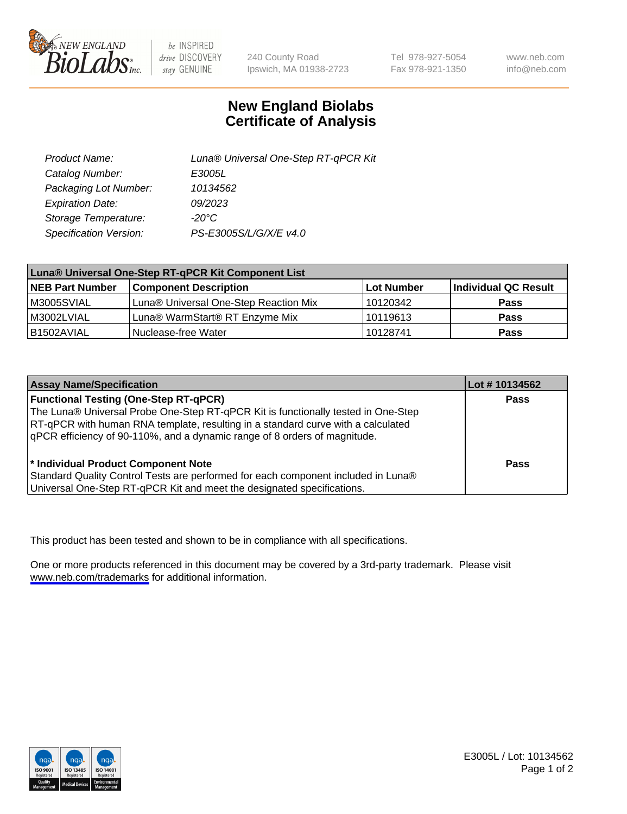

be INSPIRED drive DISCOVERY stay GENUINE

240 County Road Ipswich, MA 01938-2723 Tel 978-927-5054 Fax 978-921-1350

www.neb.com info@neb.com

## **New England Biolabs Certificate of Analysis**

| Product Name:           | Luna® Universal One-Step RT-qPCR Kit |
|-------------------------|--------------------------------------|
| Catalog Number:         | E3005L                               |
| Packaging Lot Number:   | 10134562                             |
| <b>Expiration Date:</b> | 09/2023                              |
| Storage Temperature:    | $-20^{\circ}$ C                      |
| Specification Version:  | PS-E3005S/L/G/X/E v4.0               |

| Luna® Universal One-Step RT-qPCR Kit Component List |                                       |              |                      |  |
|-----------------------------------------------------|---------------------------------------|--------------|----------------------|--|
| <b>NEB Part Number</b>                              | <b>Component Description</b>          | l Lot Number | Individual QC Result |  |
| M3005SVIAL                                          | Luna® Universal One-Step Reaction Mix | 10120342     | <b>Pass</b>          |  |
| M3002LVIAL                                          | Luna® WarmStart® RT Enzyme Mix        | 10119613     | <b>Pass</b>          |  |
| B1502AVIAL                                          | Nuclease-free Water                   | 10128741     | <b>Pass</b>          |  |

| <b>Assay Name/Specification</b>                                                                                                                                                                                                                                                                    | Lot #10134562 |
|----------------------------------------------------------------------------------------------------------------------------------------------------------------------------------------------------------------------------------------------------------------------------------------------------|---------------|
| <b>Functional Testing (One-Step RT-qPCR)</b><br>The Luna® Universal Probe One-Step RT-qPCR Kit is functionally tested in One-Step<br>RT-qPCR with human RNA template, resulting in a standard curve with a calculated<br>qPCR efficiency of 90-110%, and a dynamic range of 8 orders of magnitude. | <b>Pass</b>   |
| * Individual Product Component Note<br>Standard Quality Control Tests are performed for each component included in Luna®<br>Universal One-Step RT-qPCR Kit and meet the designated specifications.                                                                                                 | Pass          |

This product has been tested and shown to be in compliance with all specifications.

One or more products referenced in this document may be covered by a 3rd-party trademark. Please visit <www.neb.com/trademarks>for additional information.